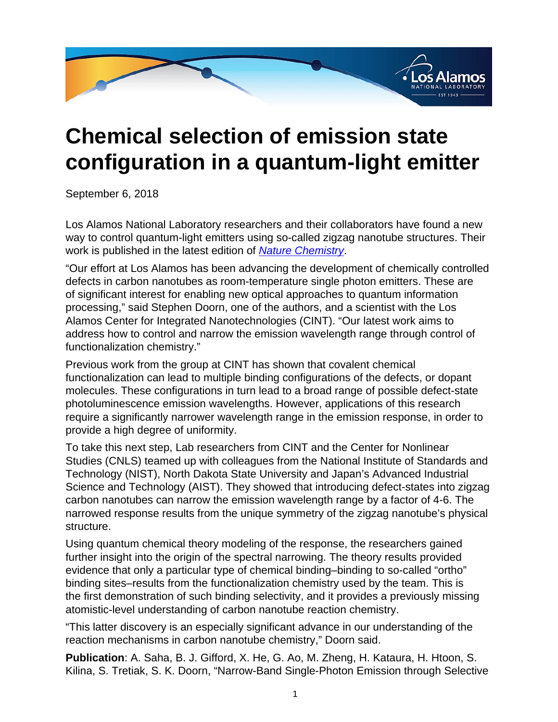

## **Chemical selection of emission state configuration in a quantum-light emitter**

September 6, 2018

Los Alamos National Laboratory researchers and their collaborators have found a new way to control quantum-light emitters using so-called zigzag nanotube structures. Their work is published in the latest edition of **[Nature Chemistry](
					https://www.nature.com/articles/s41557-018-0126-4)**.

"Our effort at Los Alamos has been advancing the development of chemically controlled defects in carbon nanotubes as room-temperature single photon emitters. These are of significant interest for enabling new optical approaches to quantum information processing," said Stephen Doorn, one of the authors, and a scientist with the Los Alamos Center for Integrated Nanotechnologies (CINT). "Our latest work aims to address how to control and narrow the emission wavelength range through control of functionalization chemistry."

Previous work from the group at CINT has shown that covalent chemical functionalization can lead to multiple binding configurations of the defects, or dopant molecules. These configurations in turn lead to a broad range of possible defect-state photoluminescence emission wavelengths. However, applications of this research require a significantly narrower wavelength range in the emission response, in order to provide a high degree of uniformity.

To take this next step, Lab researchers from CINT and the Center for Nonlinear Studies (CNLS) teamed up with colleagues from the National Institute of Standards and Technology (NIST), North Dakota State University and Japan's Advanced Industrial Science and Technology (AIST). They showed that introducing defect-states into zigzag carbon nanotubes can narrow the emission wavelength range by a factor of 4-6. The narrowed response results from the unique symmetry of the zigzag nanotube's physical structure.

Using quantum chemical theory modeling of the response, the researchers gained further insight into the origin of the spectral narrowing. The theory results provided evidence that only a particular type of chemical binding–binding to so-called "ortho" binding sites–results from the functionalization chemistry used by the team. This is the first demonstration of such binding selectivity, and it provides a previously missing atomistic-level understanding of carbon nanotube reaction chemistry.

"This latter discovery is an especially significant advance in our understanding of the reaction mechanisms in carbon nanotube chemistry," Doorn said.

**Publication**: A. Saha, B. J. Gifford, X. He, G. Ao, M. Zheng, H. Kataura, H. Htoon, S. Kilina, S. Tretiak, S. K. Doorn, "Narrow-Band Single-Photon Emission through Selective